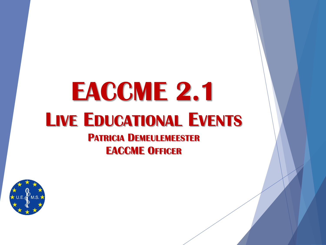# **EACCME 2.1 LIVE EDUCATIONAL EVENTS**

**PATRICIA DEMEULEMEESTER EACCME OFFICER**

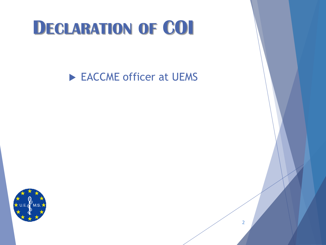#### **DECLARATION OF COI**

EACCME officer at UEMS

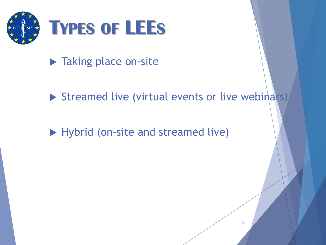

- **Taking place on-site**
- $\triangleright$  Streamed live (virtual events or live webinars)
- Hybrid (on-site and streamed live)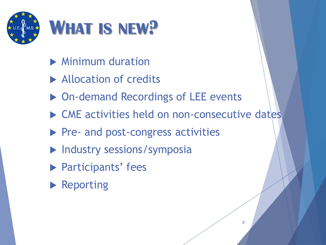

- **Minimum duration**
- Allocation of credits
- ▶ On-demand Recordings of LEE events
- ▶ CME activities held on non-consecutive dates
- Pre- and post-congress activities
- $\blacktriangleright$  Industry sessions/symposia
- **Participants' fees**
- **Reporting**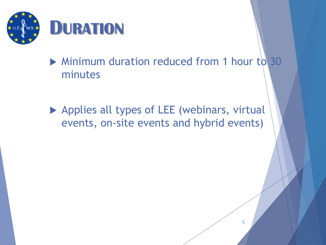

- Minimum duration reduced from 1 hour to 30 minutes
- ▶ Applies all types of LEE (webinars, virtual events, on-site events and hybrid events)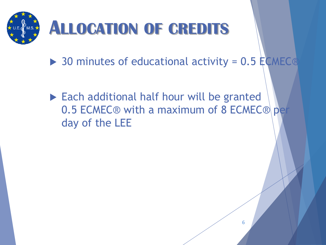

- $\triangleright$  30 minutes of educational activity = 0.5 ECMEC®
- Each additional half hour will be granted 0.5 ECMEC® with a maximum of 8 ECMEC® per day of the LEE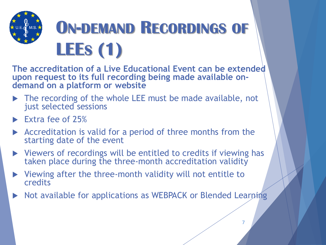

**The accreditation of a Live Educational Event can be extended upon request to its full recording being made available ondemand on a platform or website**

- The recording of the whole LEE must be made available, not just selected sessions
- Extra fee of 25%
- $\triangleright$  Accreditation is valid for a period of three months from the starting date of the event
- Viewers of recordings will be entitled to credits if viewing has taken place during the three-month accreditation validity
- $\triangleright$  Viewing after the three-month validity will not entitle to credits
- ▶ Not available for applications as WEBPACK or Blended Learning

7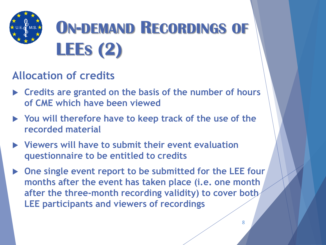

#### **Allocation of credits**

- **Credits are granted on the basis of the number of hours of CME which have been viewed**
- **You will therefore have to keep track of the use of the recorded material**
- **Viewers will have to submit their event evaluation questionnaire to be entitled to credits**
- ▶ One single event report to be submitted for the LEE four **months after the event has taken place (i.e. one month after the three-month recording validity) to cover both LEE participants and viewers of recordings**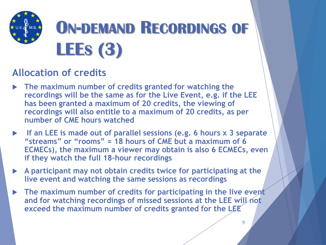

#### **Allocation of credits**

- **The maximum number of credits granted for watching the recordings will be the same as for the Live Event, e.g. if the LEE has been granted a maximum of 20 credits, the viewing of recordings will also entitle to a maximum of 20 credits, as per number of CME hours watched**
- **If an LEE is made out of parallel sessions (e.g. 6 hours x 3 separate "streams" or "rooms" = 18 hours of CME but a maximum of 6 ECMECs), the maximum a viewer may obtain is also 6 ECMECs, even if they watch the full 18-hour recordings**
- **A participant may not obtain credits twice for participating at the live event and watching the same sessions as recordings**
- **The maximum number of credits for participating in the live event and for watching recordings of missed sessions at the LEE will not exceed the maximum number of credits granted for the LEE**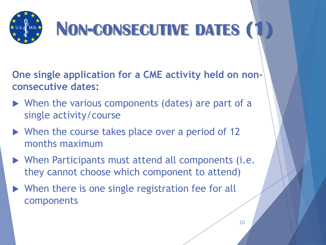

**One single application for a CME activity held on nonconsecutive dates:**

- ▶ When the various components (dates) are part of a single activity/course
- ▶ When the course takes place over a period of 12 months maximum
- When Participants must attend all components (i.e. they cannot choose which component to attend)
- ▶ When there is one single registration fee for all components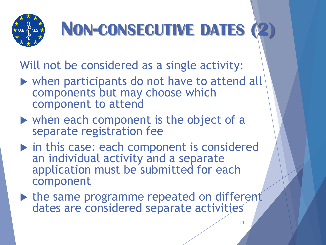

## **NON-CONSECUTIVE DATES (2)**

Will not be considered as a single activity:

- when participants do not have to attend all components but may choose which component to attend
- when each component is the object of a separate registration fee
- in this case: each component is considered an individual activity and a separate application must be submitted for each component
- In the same programme repeated on different dates are considered separate activities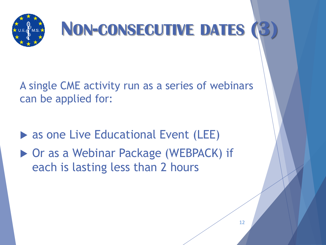

### **NON-CONSECUTIVE DATES (3)**

A single CME activity run as a series of webinars can be applied for:

▶ as one Live Educational Event (LEE)

▶ Or as a Webinar Package (WEBPACK) if each is lasting less than 2 hours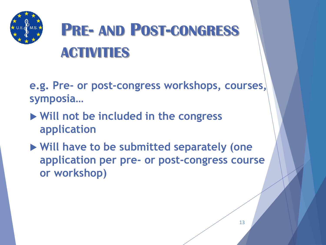

### **PRE- AND POST-CONGRESS ACTIVITIES**

- **e.g. Pre- or post-congress workshops, courses, symposia…**
- **Will not be included in the congress application**
- **Will have to be submitted separately (one application per pre- or post-congress course or workshop)**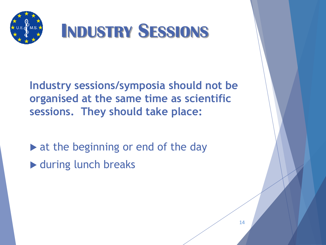

**Industry sessions/symposia should not be organised at the same time as scientific sessions. They should take place:**

 $\triangleright$  at the beginning or end of the day

▶ during lunch breaks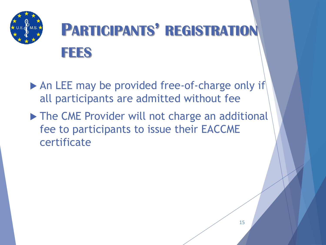

- An LEE may be provided free-of-charge only if all participants are admitted without fee
- ▶ The CME Provider will not charge an additional fee to participants to issue their EACCME certificate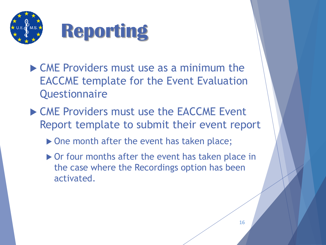

- ▶ CME Providers must use as a minimum the EACCME template for the Event Evaluation **Questionnaire**
- CME Providers must use the EACCME Event Report template to submit their event report
	- ▶ One month after the event has taken place;
	- ▶ Or four months after the event has taken place in the case where the Recordings option has been activated.